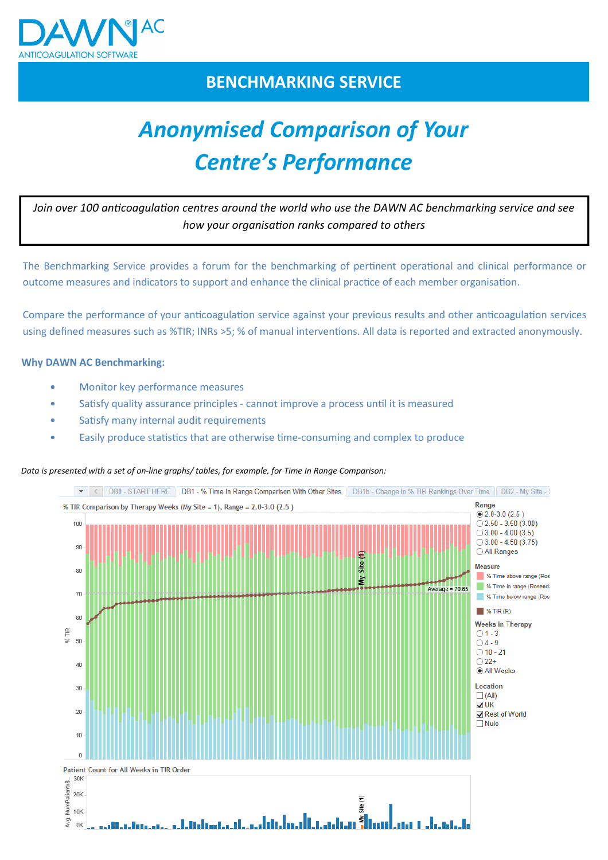

# **BENCHMARKING SERVICE**

# *Anonymised Comparison of Your Centre's Performance*

Join over 100 anticoagulation centres around the world who use the DAWN AC benchmarking service and see how your organisation ranks compared to others

The Benchmarking Service provides a forum for the benchmarking of pertinent operational and clinical performance or outcome measures and indicators to support and enhance the clinical practice of each member organisation.

Compare the performance of your anticoagulation service against your previous results and other anticoagulation services using defined measures such as %TIR; INRs >5; % of manual interventions. All data is reported and extracted anonymously.

## **Why DAWN AC Benchmarking:**

- Monitor key performance measures
- Satisfy quality assurance principles cannot improve a process until it is measured
- Satisfy many internal audit requirements
- Easily produce statistics that are otherwise time-consuming and complex to produce

#### *Data is presented with a set of on-line graphs/ tables, for example, for Time In Range Comparison:*